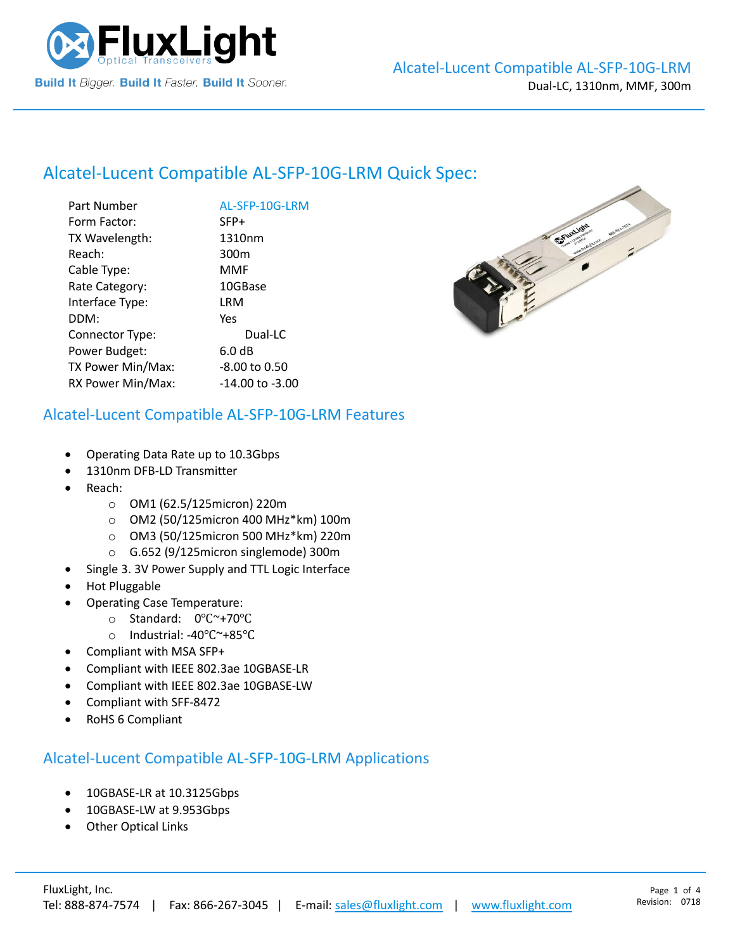

# Alcatel-Lucent Compatible [AL-SFP-10G-LRM](https://www.fluxlight.com/) Quick Spec:

| Part Number       | AL-SFP-10G-LRM   |
|-------------------|------------------|
| Form Factor:      | SFP+             |
| TX Wavelength:    | 1310nm           |
| Reach:            | 300 <sub>m</sub> |
| Cable Type:       | MMF              |
| Rate Category:    | 10GBase          |
| Interface Type:   | LRM              |
| DDM:              | Yes              |
| Connector Type:   | Dual-LC          |
| Power Budget:     | 6.0 dB           |
| TX Power Min/Max: | -8.00 to 0.50    |
| RX Power Min/Max: | -14.00 to -3.00  |



#### Alcatel-Lucent Compatible [AL-SFP-10G-LRM](https://www.fluxlight.com/) Features

- Operating Data Rate up to 10.3Gbps
- 1310nm DFB-LD Transmitter
- Reach:
	- o OM1 (62.5/125micron) 220m
	- o OM2 (50/125micron 400 MHz\*km) 100m
	- o OM3 (50/125micron 500 MHz\*km) 220m
	- o G.652 (9/125micron singlemode) 300m
- Single 3. 3V Power Supply and TTL Logic Interface
- Hot Pluggable
- Operating Case Temperature:
	- o Standard: 0℃~+70℃
	- o Industrial: -40℃~+85℃
- Compliant with MSA SFP+
- Compliant with IEEE 802.3ae 10GBASE-LR
- Compliant with IEEE 802.3ae 10GBASE-LW
- Compliant with SFF-8472
- RoHS 6 Compliant

#### Alcatel-Lucent Compatible [AL-SFP-10G-LRM](https://www.fluxlight.com/) Applications

- 10GBASE-LR at 10.3125Gbps
- 10GBASE-LW at 9.953Gbps
- **Other Optical Links**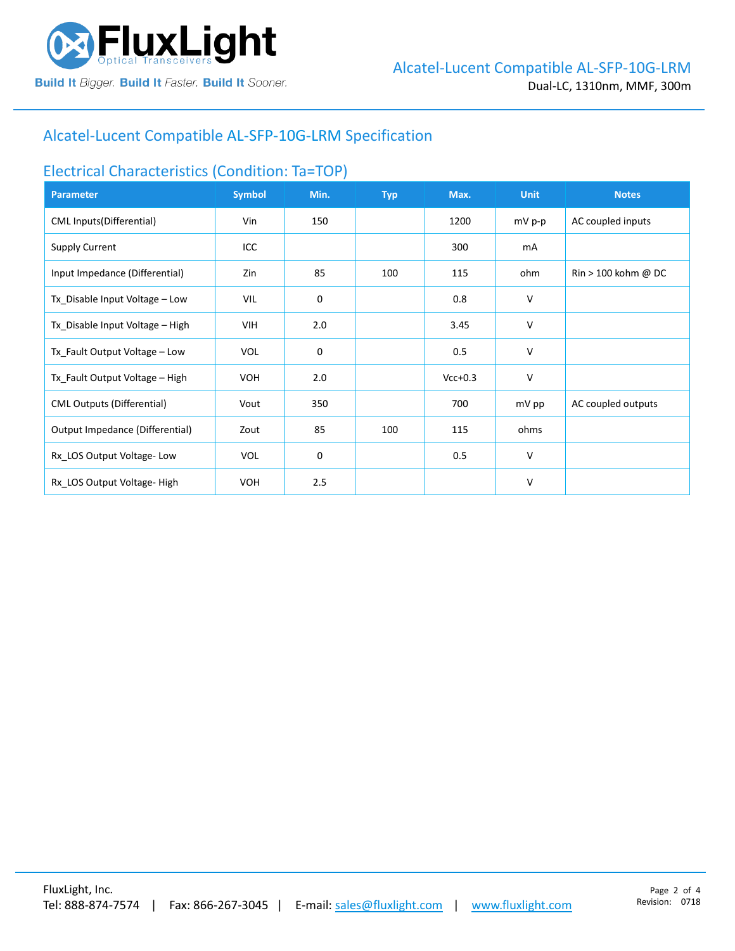

## Alcatel-Lucent Compatible [AL-SFP-10G-LRM](https://www.fluxlight.com/) Specification

#### Electrical Characteristics (Condition: Ta=TOP)

| <b>Parameter</b>                  | <b>Symbol</b> | Min. | <b>Typ</b> | Max.      | <b>Unit</b> | <b>Notes</b>                          |
|-----------------------------------|---------------|------|------------|-----------|-------------|---------------------------------------|
| CML Inputs(Differential)          | Vin           | 150  |            | 1200      | mV p-p      | AC coupled inputs                     |
| <b>Supply Current</b>             | ICC           |      |            | 300       | mA          |                                       |
| Input Impedance (Differential)    | Zin           | 85   | 100        | 115       | ohm         | $\text{Rin} > 100 \text{ kohm } @$ DC |
| Tx_Disable Input Voltage - Low    | VIL           | 0    |            | 0.8       | V           |                                       |
| Tx_Disable Input Voltage - High   | VIH           | 2.0  |            | 3.45      | V           |                                       |
| Tx_Fault Output Voltage - Low     | <b>VOL</b>    | 0    |            | 0.5       | V           |                                       |
| Tx_Fault Output Voltage - High    | <b>VOH</b>    | 2.0  |            | $Vcc+0.3$ | v           |                                       |
| <b>CML Outputs (Differential)</b> | Vout          | 350  |            | 700       | mV pp       | AC coupled outputs                    |
| Output Impedance (Differential)   | Zout          | 85   | 100        | 115       | ohms        |                                       |
| Rx_LOS Output Voltage-Low         | <b>VOL</b>    | 0    |            | 0.5       | v           |                                       |
| Rx LOS Output Voltage-High        | <b>VOH</b>    | 2.5  |            |           | V           |                                       |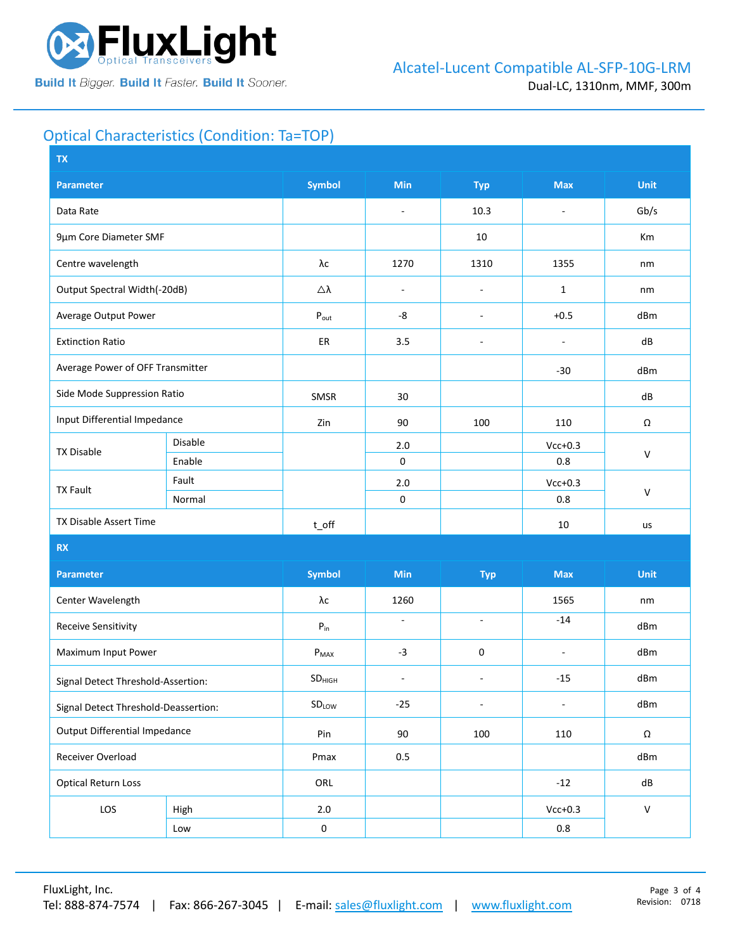

# Optical Characteristics (Condition: Ta=TOP)

| <b>TX</b>                            |         |                             |                          |                          |                          |              |  |
|--------------------------------------|---------|-----------------------------|--------------------------|--------------------------|--------------------------|--------------|--|
| <b>Parameter</b>                     |         | <b>Symbol</b>               | <b>Min</b>               | <b>Typ</b>               | <b>Max</b>               | Unit         |  |
| Data Rate                            |         |                             | $\overline{\phantom{a}}$ | 10.3                     | $\overline{\phantom{a}}$ | Gb/s         |  |
| 9µm Core Diameter SMF                |         |                             |                          | 10                       |                          | Km           |  |
| Centre wavelength                    |         | λс                          | 1270                     | 1310                     | 1355                     | nm           |  |
| Output Spectral Width(-20dB)         |         | Δλ                          | $\overline{\phantom{a}}$ | $\overline{\phantom{a}}$ | $\mathbf{1}$             | nm           |  |
| Average Output Power                 |         | $\mathsf{P}_{\mathsf{out}}$ | -8                       | $\overline{\phantom{a}}$ | $+0.5$                   | dBm          |  |
| <b>Extinction Ratio</b>              |         | ER                          | 3.5                      | $\overline{a}$           | ÷,                       | dB           |  |
| Average Power of OFF Transmitter     |         |                             |                          |                          | $-30$                    | dBm          |  |
| Side Mode Suppression Ratio          |         | SMSR                        | 30                       |                          |                          | dB           |  |
| Input Differential Impedance         |         | Zin                         | 90                       | 100                      | 110                      | Ω            |  |
| <b>TX Disable</b>                    | Disable |                             | 2.0                      |                          | $Vcc+0.3$                | $\mathsf{V}$ |  |
|                                      | Enable  |                             | $\mathsf 0$              |                          | 0.8                      |              |  |
| <b>TX Fault</b>                      | Fault   |                             | 2.0                      |                          | $Vcc+0.3$                | $\vee$       |  |
|                                      | Normal  |                             | $\mathsf 0$              |                          | 0.8                      |              |  |
| TX Disable Assert Time               |         | $t$ off                     |                          |                          | 10                       | us           |  |
| <b>RX</b>                            |         |                             |                          |                          |                          |              |  |
| <b>Parameter</b>                     |         | <b>Symbol</b>               | Min                      | <b>Typ</b>               | <b>Max</b>               | <b>Unit</b>  |  |
| Center Wavelength                    |         | λс                          | 1260                     |                          | 1565                     | nm           |  |
| <b>Receive Sensitivity</b>           |         | ${\sf P}_{\sf in}$          | $\bar{a}$                | $\sim$                   | $-14$                    | dBm          |  |
| Maximum Input Power                  |         | $P_{MAX}$                   | $-3$                     | 0                        | $\overline{\phantom{a}}$ | dBm          |  |
| Signal Detect Threshold-Assertion:   |         | SD <sub>HIGH</sub>          | $\overline{\phantom{a}}$ | $\sim$                   | $-15$                    | dBm          |  |
| Signal Detect Threshold-Deassertion: |         | SDLOW                       | $-25$                    | $\overline{\phantom{a}}$ | $\overline{\phantom{a}}$ | dBm          |  |
| <b>Output Differential Impedance</b> |         | Pin                         | 90                       | 100                      | 110                      | Ω            |  |
| Receiver Overload                    |         | Pmax                        | 0.5                      |                          |                          | dBm          |  |
| <b>Optical Return Loss</b>           |         | ORL                         |                          |                          | $-12$                    | dB           |  |
| LOS                                  | High    | $2.0\,$                     |                          |                          | $Vcc+0.3$                | ${\sf V}$    |  |
|                                      | Low     | $\pmb{0}$                   |                          |                          | 0.8                      |              |  |